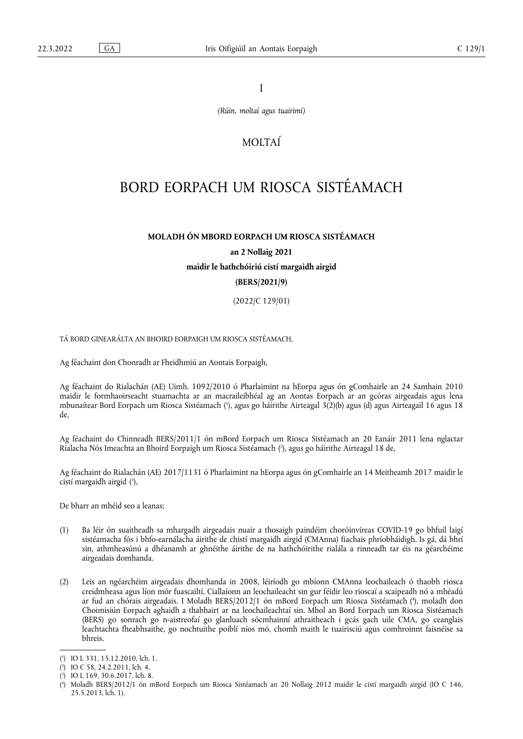I

*(Rúin, moltaí agus tuairimí)*

# MOLTAÍ

# BORD EORPACH UM RIOSCA SISTÉAMACH

# **MOLADH ÓN MBORD EORPACH UM RIOSCA SISTÉAMACH**

**an 2 Nollaig 2021**

**maidir le hathchóiriú cistí margaidh airgid** 

# **(BERS/2021/9)**

(2022/C 129/01)

TÁ BORD GINEARÁLTA AN BHOIRD EORPAIGH UM RIOSCA SISTÉAMACH,

Ag féachaint don Chonradh ar Fheidhmiú an Aontais Eorpaigh,

<span id="page-0-4"></span>Ag féachaint do Rialachán (AE) Uimh. 1092/2010 ó Pharlaimint na hEorpa agus ón gComhairle an 24 Samhain 2010 maidir le formhaoirseacht stuamachta ar an macraileibhéal ag an Aontas Eorpach ar an gcóras airgeadais agus lena mbunaítear Bord Eorpach um Riosca Sistéamach [\(](#page-0-0)'), agus go háirithe Airteagal 3(2)(b) agus (d) agus Airteagail 16 agus 18 de,

<span id="page-0-5"></span>Ag féachaint do Chinneadh BERS/2011/1 ón mBord Eorpach um Riosca Sistéamach an 20 Eanáir 2011 lena nglactar Rialacha Nós Imeachta an Bhoird Eorpaigh um Riosca Sistéamach [\(](#page-0-1) 2 ), agus go háirithe Airteagal 18 de,

<span id="page-0-6"></span>Ag féachaint do Rialachán (AE) 2017/1131 ó Pharlaimint na hEorpa agus ón gComhairle an 14 Meitheamh 2017 maidir le cistí margaidh airgid ( 3 [\),](#page-0-2)

De bharr an mhéid seo a leanas:

- (1) Ba léir ón suaitheadh sa mhargadh airgeadais nuair a thosaigh paindéim choróinvíreas COVID-19 go bhfuil laigí sistéamacha fós i bhfo-earnálacha áirithe de chistí margaidh airgid (CMAnna) fiachais phríobháidigh. Is gá, dá bhrí sin, athmheasúnú a dhéanamh ar ghnéithe áirithe de na hathchóirithe rialála a rinneadh tar éis na géarchéime airgeadais domhanda.
- <span id="page-0-7"></span>(2) Leis an ngéarchéim airgeadais dhomhanda in 2008, léiríodh go mbíonn CMAnna leochaileach ó thaobh riosca creidmheasa agus líon mór fuascailtí. Ciallaíonn an leochaileacht sin gur féidir leo rioscaí a scaipeadh nó a mhéadú ar fud an chórais airgeadais. I Moladh BERS/2012/1 ón mBord Eorpach um Riosca Sistéamach [\(](#page-0-3) 4 ), moladh don Choimisiún Eorpach aghaidh a thabhairt ar na leochaileachtaí sin. Mhol an Bord Eorpach um Riosca Sistéamach (BERS) go sonrach go n-aistreofaí go glanluach sócmhainní athraitheach i gcás gach uile CMA, go ceanglais leachtachta fheabhsaithe, go nochtuithe poiblí níos mó, chomh maith le tuairisciú agus comhroinnt faisnéise sa bhreis.

<span id="page-0-0"></span>[<sup>\(</sup>](#page-0-4) 1 ) IO L 331, 15.12.2010, lch. 1.

<span id="page-0-1"></span>[<sup>\(</sup>](#page-0-5) 2 ) IO C 58, 24.2.2011, lch. 4.

<span id="page-0-2"></span>[<sup>\(</sup>](#page-0-6) 3 ) IO L 169, 30.6.2017, lch. 8.

<span id="page-0-3"></span>[<sup>\(</sup>](#page-0-7) 4 ) Moladh BERS/2012/1 ón mBord Eorpach um Riosca Sistéamach an 20 Nollaig 2012 maidir le cistí margaidh airgid (IO C 146, 25.5.2013, lch. 1).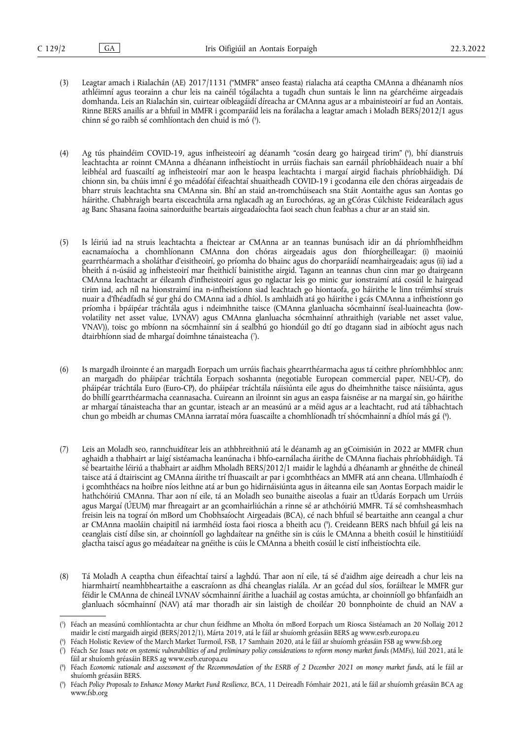- <span id="page-1-5"></span>(3) Leagtar amach i Rialachán (AE) 2017/1131 ("MMFR" anseo feasta) rialacha atá ceaptha CMAnna a dhéanamh níos athléimní agus teorainn a chur leis na cainéil tógálachta a tugadh chun suntais le linn na géarchéime airgeadais domhanda. Leis an Rialachán sin, cuirtear oibleagáidí díreacha ar CMAnna agus ar a mbainisteoirí ar fud an Aontais. Rinne BERS anailís ar a bhfuil in MMFR i gcomparáid leis na forálacha a leagtar amach i Moladh BERS/2012/1 agus chinn sé go raibh sé comhlíontach den chuid is mó ( 5 [\).](#page-1-0)
- <span id="page-1-6"></span>(4) Ag tús phaindéim COVID-19, agus infheisteoirí ag déanamh "cosán dearg go hairgead tirim" [\(](#page-1-1) 6 ), bhí dianstruis leachtachta ar roinnt CMAnna a dhéanann infheistíocht in urrúis fiachais san earnáil phríobháideach nuair a bhí leibhéal ard fuascailtí ag infheisteoirí mar aon le heaspa leachtachta i margaí airgid fiachais phríobháidigh. Dá chionn sin, ba chúis imní é go méadófaí éifeachtaí shuaitheadh COVID-19 i gcodanna eile den chóras airgeadais de bharr struis leachtachta sna CMAnna sin. Bhí an staid an-tromchúiseach sna Stáit Aontaithe agus san Aontas go háirithe. Chabhraigh bearta eisceachtúla arna nglacadh ag an Eurochóras, ag an gCóras Cúlchiste Feidearálach agus ag Banc Shasana faoina sainorduithe beartais airgeadaíochta faoi seach chun feabhas a chur ar an staid sin.
- (5) Is léiriú iad na struis leachtachta a fheictear ar CMAnna ar an teannas bunúsach idir an dá phríomhfheidhm eacnamaíocha a chomhlíonann CMAnna don chóras airgeadais agus don fhíorgheilleagar: (i) maoiniú gearrthéarmach a sholáthar d'eisitheoirí, go príomha do bhainc agus do chorparáidí neamhairgeadais; agus (ii) iad a bheith á n-úsáid ag infheisteoirí mar fheithiclí bainistithe airgid. Tagann an teannas chun cinn mar go dtairgeann CMAnna leachtacht ar éileamh d'infheisteoirí agus go nglactar leis go minic gur ionstraimí atá cosúil le hairgead tirim iad, ach níl na hionstraimí ina n-infheistíonn siad leachtach go hiontaofa, go háirithe le linn tréimhsí struis nuair a d'fhéadfadh sé gur ghá do CMAnna iad a dhíol. Is amhlaidh atá go háirithe i gcás CMAnna a infheistíonn go príomha i bpáipéar tráchtála agus i ndeimhnithe taisce (CMAnna glanluacha sócmhainní íseal-luaineachta (lowvolatility net asset value, LVNAV) agus CMAnna glanluacha sócmhainní athraithigh (variable net asset value, VNAV)), toisc go mbíonn na sócmhainní sin á sealbhú go hiondúil go dtí go dtagann siad in aibíocht agus nach dtairbhíonn siad de mhargaí doimhne tánaisteacha [\(](#page-1-2) 7 ).
- <span id="page-1-7"></span>(6) Is margadh ilroinnte é an margadh Eorpach um urrúis fiachais ghearrthéarmacha agus tá ceithre phríomhbhloc ann: an margadh do pháipéar tráchtála Eorpach soshannta (negotiable European commercial paper, NEU-CP), do pháipéar tráchtála Euro (Euro-CP), do pháipéar tráchtála náisiúnta eile agus do dheimhnithe taisce náisiúnta, agus do bhillí gearrthéarmacha ceannasacha. Cuireann an ilroinnt sin agus an easpa faisnéise ar na margaí sin, go háirithe ar mhargaí tánaisteacha thar an gcuntar, isteach ar an measúnú ar a méid agus ar a leachtacht, rud atá tábhachtach chun go mbeidh ar chumas CMAnna iarrataí móra fuascailte a chomhlíonadh trí shócmhainní a dhíol más gá ( 8 [\).](#page-1-3)
- <span id="page-1-8"></span>(7) Leis an Moladh seo, rannchuidítear leis an athbhreithniú atá le déanamh ag an gCoimisiún in 2022 ar MMFR chun aghaidh a thabhairt ar laigí sistéamacha leanúnacha i bhfo-earnálacha áirithe de CMAnna fiachais phríobháidigh. Tá sé beartaithe léiriú a thabhairt ar aidhm Mholadh BERS/2012/1 maidir le laghdú a dhéanamh ar ghnéithe de chineál taisce atá á dtairiscint ag CMAnna áirithe trí fhuascailt ar par i gcomhthéacs an MMFR atá ann cheana. Ullmhaíodh é i gcomhthéacs na hoibre níos leithne atá ar bun go hidirnáisiúnta agus in áiteanna eile san Aontas Eorpach maidir le hathchóiriú CMAnna. Thar aon ní eile, tá an Moladh seo bunaithe aiseolas a fuair an tÚdarás Eorpach um Urrúis agus Margaí (ÚEUM) mar fhreagairt ar an gcomhairliúchán a rinne sé ar athchóiriú MMFR. Tá sé comhsheasmhach freisin leis na tograí ón mBord um Chobhsaíocht Airgeadais (BCA), cé nach bhfuil sé beartaithe ann ceangal a chur ar CMAnna maoláin chaipitil ná iarmhéid íosta faoi riosca a bheith acu [\(](#page-1-4) 9 ). Creideann BERS nach bhfuil gá leis na ceanglais cistí dílse sin, ar choinníoll go laghdaítear na gnéithe sin is cúis le CMAnna a bheith cosúil le hinstitiúidí glactha taiscí agus go méadaítear na gnéithe is cúis le CMAnna a bheith cosúil le cistí infheistíochta eile.
- <span id="page-1-9"></span>(8) Tá Moladh A ceaptha chun éifeachtaí tairsí a laghdú. Thar aon ní eile, tá sé d'aidhm aige deireadh a chur leis na hiarmhairtí neamhbheartaithe a eascraíonn as dhá cheanglas rialála. Ar an gcéad dul síos, foráiltear le MMFR gur féidir le CMAnna de chineál LVNAV sócmhainní áirithe a luacháil ag costas amúchta, ar choinníoll go bhfanfaidh an glanluach sócmhainní (NAV) atá mar thoradh air sin laistigh de choiléar 20 bonnphointe de chuid an NAV a

<span id="page-1-1"></span>[\(](#page-1-6) 6 ) Féach Holistic Review of the March Market Turmoil, FSB, 17 Samhain 2020, atá le fáil ar shuíomh gréasáin FSB ag <www.fsb.org>

<span id="page-1-0"></span>[<sup>\(</sup>](#page-1-5) 5 ) Féach an measúnú comhlíontachta ar chur chun feidhme an Mholta ón mBord Eorpach um Riosca Sistéamach an 20 Nollaig 2012 maidir le cistí margaidh airgid (BERS/2012/1), Márta 2019, atá le fáil ar shuíomh gréasáin BERS ag <www.esrb.europa.eu>

<span id="page-1-2"></span>[<sup>\(</sup>](#page-1-7) 7 ) Féach *See Issues note on systemic vulnerabilities of and preliminary policy considerations to reform money market funds (MMFs)*, Iúil 2021, atá le fáil ar shuíomh gréasáin BERS ag <www.esrb.europa.eu>

<span id="page-1-3"></span>[<sup>\(</sup>](#page-1-8) 8 ) Féach *Economic rationale and assessment of the Recommendation of the ESRB of 2 December 2021 on money market funds*, atá le fáil ar shuíomh gréasáin BERS.

<span id="page-1-4"></span>[<sup>\(</sup>](#page-1-9) 9 ) Féach *Policy Proposals to Enhance Money Market Fund Resilience*, BCA, 11 Deireadh Fómhair 2021, atá le fáil ar shuíomh gréasáin BCA ag <www.fsb.org>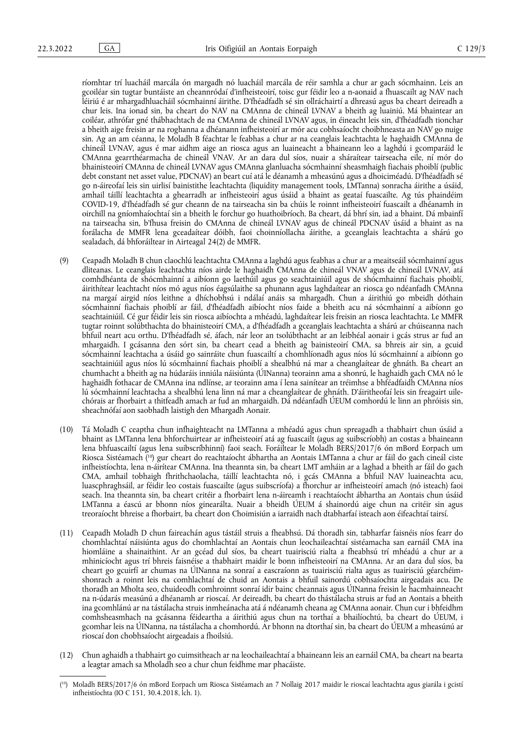ríomhtar trí luacháil marcála ón margadh nó luacháil marcála de réir samhla a chur ar gach sócmhainn. Leis an gcoiléar sin tugtar buntáiste an cheannródaí d'infheisteoirí, toisc gur féidir leo a n-aonaid a fhuascailt ag NAV nach léiriú é ar mhargadhluacháil sócmhainní áirithe. D'fhéadfadh sé sin ollráchairtí a dhreasú agus ba cheart deireadh a chur leis. Ina ionad sin, ba cheart do NAV na CMAnna de chineál LVNAV a bheith ag luainiú. Má bhaintear an coiléar, athrófar gné thábhachtach de na CMAnna de chineál LVNAV agus, in éineacht leis sin, d'fhéadfadh tionchar a bheith aige freisin ar na roghanna a dhéanann infheisteoirí ar mór acu cobhsaíocht choibhneasta an NAV go nuige sin. Ag an am céanna, le Moladh B féachtar le feabhas a chur ar na ceanglais leachtachta le haghaidh CMAnna de chineál LVNAV, agus é mar aidhm aige an riosca agus an luaineacht a bhaineann leo a laghdú i gcomparáid le CMAnna gearrthéarmacha de chineál VNAV. Ar an dara dul síos, nuair a sháraítear tairseacha eile, ní mór do bhainisteoirí CMAnna de chineál LVNAV agus CMAnna glanluacha sócmhainní sheasmhaigh fiachais phoiblí (public debt constant net asset value, PDCNAV) an beart cuí atá le déanamh a mheasúnú agus a dhoiciméadú. D'fhéadfadh sé go n-áireofaí leis sin uirlisí bainistithe leachtachta (liquidity management tools, LMTanna) sonracha áirithe a úsáid, amhail táillí leachtachta a ghearradh ar infheisteoirí agus úsáid a bhaint as geataí fuascailte. Ag tús phaindéim COVID-19, d'fhéadfadh sé gur cheann de na tairseacha sin ba chúis le roinnt infheisteoirí fuascailt a dhéanamh in oirchill na gníomhaíochtaí sin a bheith le forchur go huathoibríoch. Ba cheart, dá bhrí sin, iad a bhaint. Dá mbainfí na tairseacha sin, b'fhusa freisin do CMAnna de chineál LVNAV agus de chineál PDCNAV úsáid a bhaint as na forálacha de MMFR lena gceadaítear dóibh, faoi choinníollacha áirithe, a gceanglais leachtachta a shárú go sealadach, dá bhforáiltear in Airteagal 24(2) de MMFR.

- (9) Ceapadh Moladh B chun claochlú leachtachta CMAnna a laghdú agus feabhas a chur ar a meaitseáil sócmhainní agus dliteanas. Le ceanglais leachtachta níos airde le haghaidh CMAnna de chineál VNAV agus de chineál LVNAV, atá comhdhéanta de shócmhainní a aibíonn go laethúil agus go seachtainiúil agus de shócmhainní fiachais phoiblí, áirithítear leachtacht níos mó agus níos éagsúlaithe sa phunann agus laghdaítear an riosca go ndéanfadh CMAnna na margaí airgid níos leithne a dhíchobhsú i ndálaí anáis sa mhargadh. Chun a áirithiú go mbeidh dóthain sócmhainní fiachais phoiblí ar fáil, d'fhéadfadh aibíocht níos faide a bheith acu ná sócmhainní a aibíonn go seachtainiúil. Cé gur féidir leis sin riosca aibíochta a mhéadú, laghdaítear leis freisin an riosca leachtachta. Le MMFR tugtar roinnt solúbthachta do bhainisteoirí CMA, a d'fhéadfadh a gceanglais leachtachta a shárú ar chúiseanna nach bhfuil neart acu orthu. D'fhéadfadh sé, áfach, nár leor an tsolúbthacht ar an leibhéal aonair i gcás strus ar fud an mhargaidh. I gcásanna den sórt sin, ba cheart cead a bheith ag bainisteoirí CMA, sa bhreis air sin, a gcuid sócmhainní leachtacha a úsáid go sainráite chun fuascailtí a chomhlíonadh agus níos lú sócmhainní a aibíonn go seachtainiúil agus níos lú sócmhainní fiachais phoiblí a shealbhú ná mar a cheanglaítear de ghnáth. Ba cheart an chumhacht a bheith ag na húdaráis inniúla náisiúnta (ÚINanna) teorainn ama a shonrú, le haghaidh gach CMA nó le haghaidh fothacar de CMAnna ina ndlínse, ar teorainn ama í lena sainítear an tréimhse a bhféadfaidh CMAnna níos lú sócmhainní leachtacha a shealbhú lena linn ná mar a cheanglaítear de ghnáth. D'áiritheofaí leis sin freagairt uilechórais ar fhorbairt a thitfeadh amach ar fud an mhargaidh. Dá ndéanfadh ÚEUM comhordú le linn an phróisis sin, sheachnófaí aon saobhadh laistigh den Mhargadh Aonair.
- <span id="page-2-1"></span>(10) Tá Moladh C ceaptha chun infhaighteacht na LMTanna a mhéadú agus chun spreagadh a thabhairt chun úsáid a bhaint as LMTanna lena bhforchuirtear ar infheisteoirí atá ag fuascailt (agus ag suibscríobh) an costas a bhaineann lena bhfuascailtí (agus lena suibscríbhinní) faoi seach. Foráiltear le Moladh BERS/2017/6 ón mBord Eorpach um Riosca Sistéamach ( [10\)](#page-2-0) gur cheart do reachtaíocht ábhartha an Aontais LMTanna a chur ar fáil do gach cineál ciste infheistíochta, lena n-áirítear CMAnna. Ina theannta sin, ba cheart LMT amháin ar a laghad a bheith ar fáil do gach CMA, amhail tobhaigh fhrithchaolacha, táillí leachtachta nó, i gcás CMAnna a bhfuil NAV luaineachta acu, luascphraghsáil, ar féidir leo costais fuascailte (agus suibscríofa) a fhorchur ar infheisteoirí amach (nó isteach) faoi seach. Ina theannta sin, ba cheart critéir a fhorbairt lena n-áireamh i reachtaíocht ábhartha an Aontais chun úsáid LMTanna a éascú ar bhonn níos ginearálta. Nuair a bheidh ÚEUM á shainordú aige chun na critéir sin agus treoraíocht bhreise a fhorbairt, ba cheart don Choimisiún a iarraidh nach dtabharfaí isteach aon éifeachtaí tairsí.
- (11) Ceapadh Moladh D chun faireachán agus tástáil struis a fheabhsú. Dá thoradh sin, tabharfar faisnéis níos fearr do chomhlachtaí náisiúnta agus do chomhlachtaí an Aontais chun leochaileachtaí sistéamacha san earnáil CMA ina hiomláine a shainaithint. Ar an gcéad dul síos, ba cheart tuairisciú rialta a fheabhsú trí mhéadú a chur ar a mhinicíocht agus trí bhreis faisnéise a thabhairt maidir le bonn infheisteoirí na CMAnna. Ar an dara dul síos, ba cheart go gcuirfí ar chumas na ÚINanna na sonraí a eascraíonn as tuairisciú rialta agus as tuairisciú géarchéimshonrach a roinnt leis na comhlachtaí de chuid an Aontais a bhfuil sainordú cobhsaíochta airgeadais acu. De thoradh an Mholta seo, chuideodh comhroinnt sonraí idir bainc cheannais agus ÚINanna freisin le hacmhainneacht na n-údarás measúnú a dhéanamh ar rioscaí. Ar deireadh, ba cheart do thástálacha struis ar fud an Aontais a bheith ina gcomhlánú ar na tástálacha struis inmheánacha atá á ndéanamh cheana ag CMAnna aonair. Chun cur i bhfeidhm comhsheasmhach na gcásanna féideartha a áirithiú agus chun na torthaí a bhailíochtú, ba cheart do ÚEUM, i gcomhar leis na ÚINanna, na tástálacha a chomhordú. Ar bhonn na dtorthaí sin, ba cheart do ÚEUM a mheasúnú ar rioscaí don chobhsaíocht airgeadais a fhoilsiú.
- (12) Chun aghaidh a thabhairt go cuimsitheach ar na leochaileachtaí a bhaineann leis an earnáil CMA, ba cheart na bearta a leagtar amach sa Mholadh seo a chur chun feidhme mar phacáiste.

<span id="page-2-0"></span><sup>(</sup> [10\)](#page-2-1) Moladh BERS/2017/6 ón mBord Eorpach um Riosca Sistéamach an 7 Nollaig 2017 maidir le rioscaí leachtachta agus giarála i gcistí infheistíochta (IO C 151, 30.4.2018, lch. 1).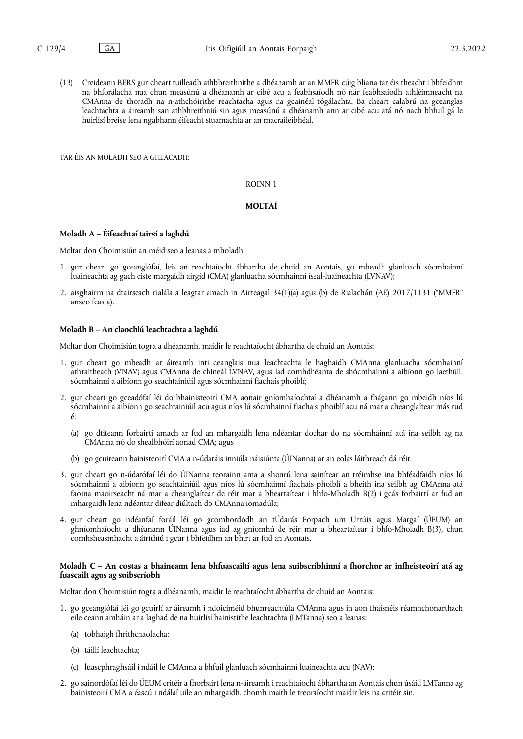(13) Creideann BERS gur cheart tuilleadh athbhreithnithe a dhéanamh ar an MMFR cúig bliana tar éis theacht i bhfeidhm na bhforálacha nua chun measúnú a dhéanamh ar cibé acu a feabhsaíodh nó nár feabhsaíodh athléimneacht na CMAnna de thoradh na n-athchóirithe reachtacha agus na gcainéal tógálachta. Ba cheart calabrú na gceanglas leachtachta a áireamh san athbhreithniú sin agus measúnú a dhéanamh ann ar cibé acu atá nó nach bhfuil gá le huirlisí breise lena ngabhann éifeacht stuamachta ar an macraileibhéal,

TAR ÉIS AN MOLADH SEO A GHLACADH:

#### ROINN 1

# **MOLTAÍ**

#### **Moladh A – Éifeachtaí tairsí a laghdú**

Moltar don Choimisiún an méid seo a leanas a mholadh:

- 1. gur cheart go gceanglófaí, leis an reachtaíocht ábhartha de chuid an Aontais, go mbeadh glanluach sócmhainní luaineachta ag gach ciste margaidh airgid (CMA) glanluacha sócmhainní íseal-luaineachta (LVNAV);
- 2. aisghairm na dtairseach rialála a leagtar amach in Airteagal 34(1)(a) agus (b) de Rialachán (AE) 2017/1131 ("MMFR" anseo feasta).

# **Moladh B – An claochlú leachtachta a laghdú**

Moltar don Choimisiún togra a dhéanamh, maidir le reachtaíocht ábhartha de chuid an Aontais:

- 1. gur cheart go mbeadh ar áireamh inti ceanglais nua leachtachta le haghaidh CMAnna glanluacha sócmhainní athraitheach (VNAV) agus CMAnna de chineál LVNAV, agus iad comhdhéanta de shócmhainní a aibíonn go laethúil, sócmhainní a aibíonn go seachtainiúil agus sócmhainní fiachais phoiblí;
- 2. gur cheart go gceadófaí léi do bhainisteoirí CMA aonair gníomhaíochtaí a dhéanamh a fhágann go mbeidh níos lú sócmhainní a aibíonn go seachtainiúil acu agus níos lú sócmhainní fiachais phoiblí acu ná mar a cheanglaítear más rud é:
	- (a) go dtiteann forbairtí amach ar fud an mhargaidh lena ndéantar dochar do na sócmhainní atá ina seilbh ag na CMAnna nó do shealbhóirí aonad CMA; agus
	- (b) go gcuireann bainisteoirí CMA a n-údaráis inniúla náisiúnta (ÚINanna) ar an eolas láithreach dá réir.
- 3. gur cheart go n-údarófaí léi do ÚINanna teorainn ama a shonrú lena sainítear an tréimhse ina bhféadfaidh níos lú sócmhainní a aibíonn go seachtainiúil agus níos lú sócmhainní fiachais phoiblí a bheith ina seilbh ag CMAnna atá faoina maoirseacht ná mar a cheanglaítear de réir mar a bheartaítear i bhfo-Mholadh B(2) i gcás forbairtí ar fud an mhargaidh lena ndéantar difear diúltach do CMAnna iomadúla;
- 4. gur cheart go ndéanfaí foráil léi go gcomhordódh an tÚdarás Eorpach um Urrúis agus Margaí (ÚEUM) an ghníomhaíocht a dhéanann ÚINanna agus iad ag gníomhú de réir mar a bheartaítear i bhfo-Mholadh B(3), chun comhsheasmhacht a áirithiú i gcur i bhfeidhm an bhirt ar fud an Aontais.

# **Moladh C – An costas a bhaineann lena bhfuascailtí agus lena suibscríbhinní a fhorchur ar infheisteoirí atá ag fuascailt agus ag suibscríobh**

Moltar don Choimisiún togra a dhéanamh, maidir le reachtaíocht ábhartha de chuid an Aontais:

- 1. go gceanglófaí léi go gcuirfí ar áireamh i ndoiciméid bhunreachtúla CMAnna agus in aon fhaisnéis réamhchonarthach eile ceann amháin ar a laghad de na huirlisí bainistithe leachtachta (LMTanna) seo a leanas:
	- (a) tobhaigh fhrithchaolacha;
	- (b) táillí leachtachta;
	- (c) luascphraghsáil i ndáil le CMAnna a bhfuil glanluach sócmhainní luaineachta acu (NAV);
- 2. go sainordófaí léi do ÚEUM critéir a fhorbairt lena n-áireamh i reachtaíocht ábhartha an Aontais chun úsáid LMTanna ag bainisteoirí CMA a éascú i ndálaí uile an mhargaidh, chomh maith le treoraíocht maidir leis na critéir sin.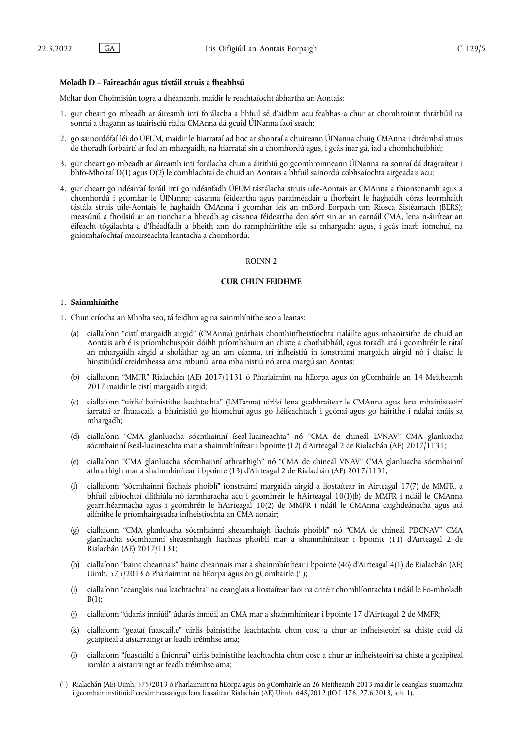# **Moladh D – Faireachán agus tástáil struis a fheabhsú**

Moltar don Choimisiún togra a dhéanamh, maidir le reachtaíocht ábhartha an Aontais:

- 1. gur cheart go mbeadh ar áireamh inti forálacha a bhfuil sé d'aidhm acu feabhas a chur ar chomhroinnt thráthúil na sonraí a thagann as tuairisciú rialta CMAnna dá gcuid ÚINanna faoi seach;
- 2. go sainordófaí léi do ÚEUM, maidir le hiarrataí ad hoc ar shonraí a chuireann ÚINanna chuig CMAnna i dtréimhsí struis de thoradh forbairtí ar fud an mhargaidh, na hiarrataí sin a chomhordú agus, i gcás inar gá, iad a chomhchuibhiú;
- 3. gur cheart go mbeadh ar áireamh inti forálacha chun a áirithiú go gcomhroinneann ÚINanna na sonraí dá dtagraítear i bhfo-Mholtaí D(1) agus D(2) le comhlachtaí de chuid an Aontais a bhfuil sainordú cobhsaíochta airgeadais acu;
- 4. gur cheart go ndéanfaí foráil inti go ndéanfadh ÚEUM tástálacha struis uile-Aontais ar CMAnna a thionscnamh agus a chomhordú i gcomhar le ÚINanna; cásanna féideartha agus paraiméadair a fhorbairt le haghaidh córas leormhaith tástála struis uile-Aontais le haghaidh CMAnna i gcomhar leis an mBord Eorpach um Riosca Sistéamach (BERS); measúnú a fhoilsiú ar an tionchar a bheadh ag cásanna féideartha den sórt sin ar an earnáil CMA, lena n-áirítear an éifeacht tógálachta a d'fhéadfadh a bheith ann do rannpháirtithe eile sa mhargadh; agus, i gcás inarb iomchuí, na gníomhaíochtaí maoirseachta leantacha a chomhordú.

## ROINN 2

# **CUR CHUN FEIDHME**

# 1. **Sainmhínithe**

- 1. Chun críocha an Mholta seo, tá feidhm ag na sainmhínithe seo a leanas:
	- (a) ciallaíonn "cistí margaidh airgid" (CMAnna) gnóthais chomhinfheistíochta rialáilte agus mhaoirsithe de chuid an Aontais arb é is príomhchuspóir dóibh príomhshuim an chiste a chothabháil, agus toradh atá i gcomhréir le rátaí an mhargaidh airgid a sholáthar ag an am céanna, trí infheistiú in ionstraimí margaidh airgid nó i dtaiscí le hinstitiúidí creidmheasa arna mbunú, arna mbainistiú nó arna margú san Aontas;
	- (b) ciallaíonn "MMFR" Rialachán (AE) 2017/1131 ó Pharlaimint na hEorpa agus ón gComhairle an 14 Meitheamh 2017 maidir le cistí margaidh airgid;
	- (c) ciallaíonn "uirlisí bainistithe leachtachta" (LMTanna) uirlisí lena gcabhraítear le CMAnna agus lena mbainisteoirí iarrataí ar fhuascailt a bhainistiú go hiomchuí agus go héifeachtach i gcónaí agus go háirithe i ndálaí anáis sa mhargadh;
	- (d) ciallaíonn "CMA glanluacha sócmhainní íseal-luaineachta" nó "CMA de chineál LVNAV" CMA glanluacha sócmhainní íseal-luaineachta mar a shainmhínítear i bpointe (12) d'Airteagal 2 de Rialachán (AE) 2017/1131;
	- (e) ciallaíonn "CMA glanluacha sócmhainní athraithigh" nó "CMA de chineál VNAV" CMA glanluacha sócmhainní athraithigh mar a shainmhínítear i bpointe (13) d'Airteagal 2 de Rialachán (AE) 2017/1131;
	- (f) ciallaíonn "sócmhainní fiachais phoiblí" ionstraimí margaidh airgid a liostaítear in Airteagal 17(7) de MMFR, a bhfuil aibíochtaí dlíthiúla nó iarmharacha acu i gcomhréir le hAirteagal 10(1)(b) de MMFR i ndáil le CMAnna gearrthéarmacha agus i gcomhréir le hAirteagal 10(2) de MMFR i ndáil le CMAnna caighdeánacha agus atá ailínithe le príomhairgeadra infheistíochta an CMA aonair;
	- (g) ciallaíonn "CMA glanluacha sócmhainní sheasmhaigh fiachais phoiblí" nó "CMA de chineál PDCNAV" CMA glanluacha sócmhainní sheasmhaigh fiachais phoiblí mar a shainmhínítear i bpointe (11) d'Airteagal 2 de Rialachán (AE) 2017/1131;
	- (h) ciallaíonn "bainc cheannais" bainc cheannais mar a shainmhínítear i bpointe (46) d'Airteagal 4(1) de Rialachán (AE) Uimh. 575/2013 ó Pharlaimint na hEorpa agus ón gComhairle ( [11\);](#page-4-0)
	- (i) ciallaíonn "ceanglais nua leachtachta" na ceanglais a liostaítear faoi na critéir chomhlíontachta i ndáil le Fo-mholadh  $B(1);$
	- (j) ciallaíonn "údarás inniúil" údarás inniúil an CMA mar a shainmhínítear i bpointe 17 d'Airteagal 2 de MMFR;
	- (k) ciallaíonn "geataí fuascailte" uirlis bainistithe leachtachta chun cosc a chur ar infheisteoirí sa chiste cuid dá gcaipiteal a aistarraingt ar feadh tréimhse ama;
	- (l) ciallaíonn "fuascailtí a fhionraí" uirlis bainistithe leachtachta chun cosc a chur ar infheisteoirí sa chiste a gcaipiteal iomlán a aistarraingt ar feadh tréimhse ama;

<span id="page-4-1"></span><span id="page-4-0"></span><sup>(</sup> [11\)](#page-4-1) Rialachán (AE) Uimh. 575/2013 ó Pharlaimint na hEorpa agus ón gComhairle an 26 Meitheamh 2013 maidir le ceanglais stuamachta i gcomhair institiúidí creidmheasa agus lena leasaítear Rialachán (AE) Uimh. 648/2012 (IO L 176, 27.6.2013, lch. 1).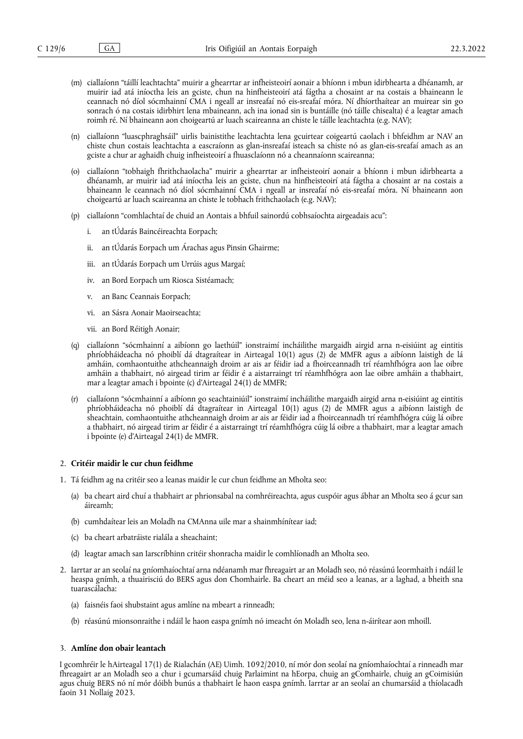- (m) ciallaíonn "táillí leachtachta" muirir a ghearrtar ar infheisteoirí aonair a bhíonn i mbun idirbhearta a dhéanamh, ar muirir iad atá iníoctha leis an gciste, chun na hinfheisteoirí atá fágtha a chosaint ar na costais a bhaineann le ceannach nó díol sócmhainní CMA i ngeall ar insreafaí nó eis-sreafaí móra. Ní dhíorthaítear an muirear sin go sonrach ó na costais idirbhirt lena mbaineann, ach ina ionad sin is buntáille (nó táille chisealta) é a leagtar amach roimh ré. Ní bhaineann aon choigeartú ar luach scaireanna an chiste le táille leachtachta (e.g. NAV);
- (n) ciallaíonn "luascphraghsáil" uirlis bainistithe leachtachta lena gcuirtear coigeartú caolach i bhfeidhm ar NAV an chiste chun costais leachtachta a eascraíonn as glan-insreafaí isteach sa chiste nó as glan-eis-sreafaí amach as an gciste a chur ar aghaidh chuig infheisteoirí a fhuasclaíonn nó a cheannaíonn scaireanna;
- (o) ciallaíonn "tobhaigh fhrithchaolacha" muirir a ghearrtar ar infheisteoirí aonair a bhíonn i mbun idirbhearta a dhéanamh, ar muirir iad atá iníoctha leis an gciste, chun na hinfheisteoirí atá fágtha a chosaint ar na costais a bhaineann le ceannach nó díol sócmhainní CMA i ngeall ar insreafaí nó eis-sreafaí móra. Ní bhaineann aon choigeartú ar luach scaireanna an chiste le tobhach frithchaolach (e.g. NAV);
- (p) ciallaíonn "comhlachtaí de chuid an Aontais a bhfuil sainordú cobhsaíochta airgeadais acu":
	- i. an tÚdarás Baincéireachta Eorpach;
	- ii. an tÚdarás Eorpach um Árachas agus Pinsin Ghairme;
	- iii. an tÚdarás Eorpach um Urrúis agus Margaí;
	- iv. an Bord Eorpach um Riosca Sistéamach;
	- v. an Banc Ceannais Eorpach;
	- vi. an Sásra Aonair Maoirseachta;
	- vii. an Bord Réitigh Aonair;
- (q) ciallaíonn "sócmhainní a aibíonn go laethúil" ionstraimí incháilithe margaidh airgid arna n-eisiúint ag eintitis phríobháideacha nó phoiblí dá dtagraítear in Airteagal 10(1) agus (2) de MMFR agus a aibíonn laistigh de lá amháin, comhaontuithe athcheannaigh droim ar ais ar féidir iad a fhoirceannadh trí réamhfhógra aon lae oibre amháin a thabhairt, nó airgead tirim ar féidir é a aistarraingt trí réamhfhógra aon lae oibre amháin a thabhairt, mar a leagtar amach i bpointe (c) d'Airteagal 24(1) de MMFR;
- (r) ciallaíonn "sócmhainní a aibíonn go seachtainiúil" ionstraimí incháilithe margaidh airgid arna n-eisiúint ag eintitis phríobháideacha nó phoiblí dá dtagraítear in Airteagal 10(1) agus (2) de MMFR agus a aibíonn laistigh de sheachtain, comhaontuithe athcheannaigh droim ar ais ar féidir iad a fhoirceannadh trí réamhfhógra cúig lá oibre a thabhairt, nó airgead tirim ar féidir é a aistarraingt trí réamhfhógra cúig lá oibre a thabhairt, mar a leagtar amach i bpointe (e) d'Airteagal 24(1) de MMFR.

#### 2. **Critéir maidir le cur chun feidhme**

- 1. Tá feidhm ag na critéir seo a leanas maidir le cur chun feidhme an Mholta seo:
	- (a) ba cheart aird chuí a thabhairt ar phrionsabal na comhréireachta, agus cuspóir agus ábhar an Mholta seo á gcur san áireamh;
	- (b) cumhdaítear leis an Moladh na CMAnna uile mar a shainmhínítear iad;
	- (c) ba cheart arbatráiste rialála a sheachaint;
	- (d) leagtar amach san Iarscríbhinn critéir shonracha maidir le comhlíonadh an Mholta seo.
- 2. Iarrtar ar an seolaí na gníomhaíochtaí arna ndéanamh mar fhreagairt ar an Moladh seo, nó réasúnú leormhaith i ndáil le heaspa gnímh, a thuairisciú do BERS agus don Chomhairle. Ba cheart an méid seo a leanas, ar a laghad, a bheith sna tuarascálacha:
	- (a) faisnéis faoi shubstaint agus amlíne na mbeart a rinneadh;
	- (b) réasúnú mionsonraithe i ndáil le haon easpa gnímh nó imeacht ón Moladh seo, lena n-áirítear aon mhoill.

## 3. **Amlíne don obair leantach**

I gcomhréir le hAirteagal 17(1) de Rialachán (AE) Uimh. 1092/2010, ní mór don seolaí na gníomhaíochtaí a rinneadh mar fhreagairt ar an Moladh seo a chur i gcumarsáid chuig Parlaimint na hEorpa, chuig an gComhairle, chuig an gCoimisiún agus chuig BERS nó ní mór dóibh bunús a thabhairt le haon easpa gnímh. Iarrtar ar an seolaí an chumarsáid a thíolacadh faoin 31 Nollaig 2023.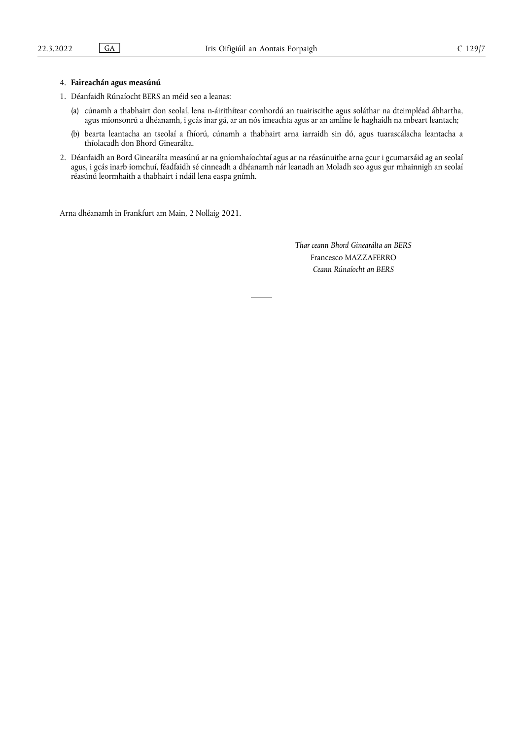# 4. **Faireachán agus measúnú**

- 1. Déanfaidh Rúnaíocht BERS an méid seo a leanas:
	- (a) cúnamh a thabhairt don seolaí, lena n-áirithítear comhordú an tuairiscithe agus soláthar na dteimpléad ábhartha, agus mionsonrú a dhéanamh, i gcás inar gá, ar an nós imeachta agus ar an amlíne le haghaidh na mbeart leantach;
	- (b) bearta leantacha an tseolaí a fhíorú, cúnamh a thabhairt arna iarraidh sin dó, agus tuarascálacha leantacha a thíolacadh don Bhord Ginearálta.
- 2. Déanfaidh an Bord Ginearálta measúnú ar na gníomhaíochtaí agus ar na réasúnuithe arna gcur i gcumarsáid ag an seolaí agus, i gcás inarb iomchuí, féadfaidh sé cinneadh a dhéanamh nár leanadh an Moladh seo agus gur mhainnigh an seolaí réasúnú leormhaith a thabhairt i ndáil lena easpa gnímh.

Arna dhéanamh in Frankfurt am Main, 2 Nollaig 2021.

*Thar ceann Bhord Ginearálta an BERS* Francesco MAZZAFERRO *Ceann Rúnaíocht an BERS*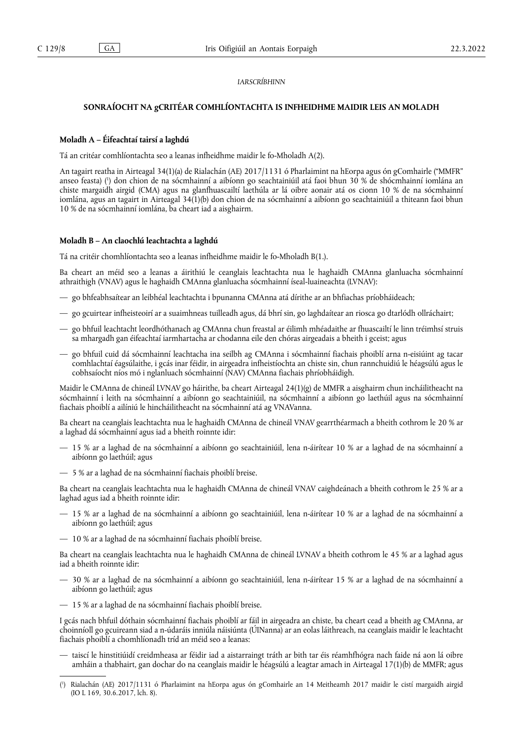# *IARSCRÍBHINN*

# **SONRAÍOCHT NA gCRITÉAR COMHLÍONTACHTA IS INFHEIDHME MAIDIR LEIS AN MOLADH**

## **Moladh A – Éifeachtaí tairsí a laghdú**

Tá an critéar comhlíontachta seo a leanas infheidhme maidir le fo-Mholadh A(2).

<span id="page-7-1"></span>An tagairt reatha in Airteagal 34(1)(a) de Rialachán (AE) 2017/1131 ó Pharlaimint na hEorpa agus ón gComhairle ("MMFR" anseo feasta) [\(](#page-7-0) 1 ) don chion de na sócmhainní a aibíonn go seachtainiúil atá faoi bhun 30 % de shócmhainní iomlána an chiste margaidh airgid (CMA) agus na glanfhuascailtí laethúla ar lá oibre aonair atá os cionn 10 % de na sócmhainní iomlána, agus an tagairt in Airteagal 34(1)(b) don chion de na sócmhainní a aibíonn go seachtainiúil a thiteann faoi bhun 10 % de na sócmhainní iomlána, ba cheart iad a aisghairm.

#### **Moladh B – An claochlú leachtachta a laghdú**

Tá na critéir chomhlíontachta seo a leanas infheidhme maidir le fo-Mholadh B(1.).

Ba cheart an méid seo a leanas a áirithiú le ceanglais leachtachta nua le haghaidh CMAnna glanluacha sócmhainní athraithigh (VNAV) agus le haghaidh CMAnna glanluacha sócmhainní íseal-luaineachta (LVNAV):

- go bhfeabhsaítear an leibhéal leachtachta i bpunanna CMAnna atá dírithe ar an bhfiachas príobháideach;
- go gcuirtear infheisteoirí ar a suaimhneas tuilleadh agus, dá bhrí sin, go laghdaítear an riosca go dtarlódh ollráchairt;
- go bhfuil leachtacht leordhóthanach ag CMAnna chun freastal ar éilimh mhéadaithe ar fhuascailtí le linn tréimhsí struis sa mhargadh gan éifeachtaí iarmhartacha ar chodanna eile den chóras airgeadais a bheith i gceist; agus
- go bhfuil cuid dá sócmhainní leachtacha ina seilbh ag CMAnna i sócmhainní fiachais phoiblí arna n-eisiúint ag tacar comhlachtaí éagsúlaithe, i gcás inar féidir, in airgeadra infheistíochta an chiste sin, chun rannchuidiú le héagsúlú agus le cobhsaíocht níos mó i nglanluach sócmhainní (NAV) CMAnna fiachais phríobháidigh.

Maidir le CMAnna de chineál LVNAV go háirithe, ba cheart Airteagal 24(1)(g) de MMFR a aisghairm chun incháilitheacht na sócmhainní i leith na sócmhainní a aibíonn go seachtainiúil, na sócmhainní a aibíonn go laethúil agus na sócmhainní fiachais phoiblí a ailíniú le hincháilitheacht na sócmhainní atá ag VNAVanna.

Ba cheart na ceanglais leachtachta nua le haghaidh CMAnna de chineál VNAV gearrthéarmach a bheith cothrom le 20 % ar a laghad dá sócmhainní agus iad a bheith roinnte idir:

- 15 % ar a laghad de na sócmhainní a aibíonn go seachtainiúil, lena n-áirítear 10 % ar a laghad de na sócmhainní a aibíonn go laethúil; agus
- 5 % ar a laghad de na sócmhainní fiachais phoiblí breise.

Ba cheart na ceanglais leachtachta nua le haghaidh CMAnna de chineál VNAV caighdeánach a bheith cothrom le 25 % ar a laghad agus iad a bheith roinnte idir:

- 15 % ar a laghad de na sócmhainní a aibíonn go seachtainiúil, lena n-áirítear 10 % ar a laghad de na sócmhainní a aibíonn go laethúil; agus
- 10 % ar a laghad de na sócmhainní fiachais phoiblí breise.

Ba cheart na ceanglais leachtachta nua le haghaidh CMAnna de chineál LVNAV a bheith cothrom le 45 % ar a laghad agus iad a bheith roinnte idir:

- 30 % ar a laghad de na sócmhainní a aibíonn go seachtainiúil, lena n-áirítear 15 % ar a laghad de na sócmhainní a aibíonn go laethúil; agus
- 15 % ar a laghad de na sócmhainní fiachais phoiblí breise.

I gcás nach bhfuil dóthain sócmhainní fiachais phoiblí ar fáil in airgeadra an chiste, ba cheart cead a bheith ag CMAnna, ar choinníoll go gcuireann siad a n-údaráis inniúla náisiúnta (ÚINanna) ar an eolas láithreach, na ceanglais maidir le leachtacht fiachais phoiblí a chomhlíonadh tríd an méid seo a leanas:

— taiscí le hinstitiúidí creidmheasa ar féidir iad a aistarraingt tráth ar bith tar éis réamhfhógra nach faide ná aon lá oibre amháin a thabhairt, gan dochar do na ceanglais maidir le héagsúlú a leagtar amach in Airteagal 17(1)(b) de MMFR; agus

<span id="page-7-0"></span>[<sup>\(</sup>](#page-7-1) 1 ) Rialachán (AE) 2017/1131 ó Pharlaimint na hEorpa agus ón gComhairle an 14 Meitheamh 2017 maidir le cistí margaidh airgid (IO L 169, 30.6.2017, lch. 8).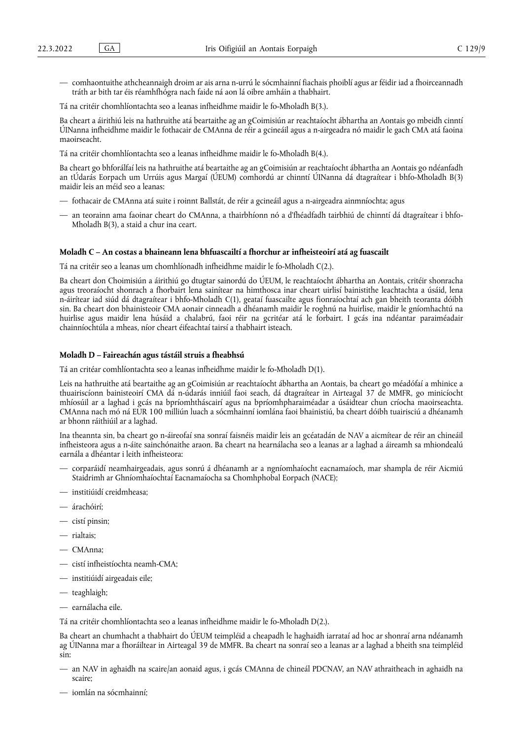— comhaontuithe athcheannaigh droim ar ais arna n-urrú le sócmhainní fiachais phoiblí agus ar féidir iad a fhoirceannadh tráth ar bith tar éis réamhfhógra nach faide ná aon lá oibre amháin a thabhairt.

Tá na critéir chomhlíontachta seo a leanas infheidhme maidir le fo-Mholadh B(3.).

Ba cheart a áirithiú leis na hathruithe atá beartaithe ag an gCoimisiún ar reachtaíocht ábhartha an Aontais go mbeidh cinntí ÚINanna infheidhme maidir le fothacair de CMAnna de réir a gcineáil agus a n-airgeadra nó maidir le gach CMA atá faoina maoirseacht.

Tá na critéir chomhlíontachta seo a leanas infheidhme maidir le fo-Mholadh B(4.).

Ba cheart go bhforálfaí leis na hathruithe atá beartaithe ag an gCoimisiún ar reachtaíocht ábhartha an Aontais go ndéanfadh an tÚdarás Eorpach um Urrúis agus Margaí (ÚEUM) comhordú ar chinntí ÚINanna dá dtagraítear i bhfo-Mholadh B(3) maidir leis an méid seo a leanas:

- fothacair de CMAnna atá suite i roinnt Ballstát, de réir a gcineáil agus a n-airgeadra ainmníochta; agus
- an teorainn ama faoinar cheart do CMAnna, a thairbhíonn nó a d'fhéadfadh tairbhiú de chinntí dá dtagraítear i bhfo-Mholadh B(3), a staid a chur ina ceart.

# **Moladh C – An costas a bhaineann lena bhfuascailtí a fhorchur ar infheisteoirí atá ag fuascailt**

Tá na critéir seo a leanas um chomhlíonadh infheidhme maidir le fo-Mholadh C(2.).

Ba cheart don Choimisiún a áirithiú go dtugtar sainordú do ÚEUM, le reachtaíocht ábhartha an Aontais, critéir shonracha agus treoraíocht shonrach a fhorbairt lena sainítear na himthosca inar cheart uirlisí bainistithe leachtachta a úsáid, lena n-áirítear iad siúd dá dtagraítear i bhfo-Mholadh C(1), geataí fuascailte agus fionraíochtaí ach gan bheith teoranta dóibh sin. Ba cheart don bhainisteoir CMA aonair cinneadh a dhéanamh maidir le roghnú na huirlise, maidir le gníomhachtú na huirlise agus maidir lena húsáid a chalabrú, faoi réir na gcritéar atá le forbairt. I gcás ina ndéantar paraiméadair chainníochtúla a mheas, níor cheart éifeachtaí tairsí a thabhairt isteach.

#### **Moladh D – Faireachán agus tástáil struis a fheabhsú**

Tá an critéar comhlíontachta seo a leanas infheidhme maidir le fo-Mholadh D(1).

Leis na hathruithe atá beartaithe ag an gCoimisiún ar reachtaíocht ábhartha an Aontais, ba cheart go méadófaí a mhinice a thuairiscíonn bainisteoirí CMA dá n-údarás inniúil faoi seach, dá dtagraítear in Airteagal 37 de MMFR, go minicíocht mhíosúil ar a laghad i gcás na bpríomhtháscairí agus na bpríomhpharaiméadar a úsáidtear chun críocha maoirseachta. CMAnna nach mó ná EUR 100 milliún luach a sócmhainní iomlána faoi bhainistiú, ba cheart dóibh tuairisciú a dhéanamh ar bhonn ráithiúil ar a laghad.

Ina theannta sin, ba cheart go n-áireofaí sna sonraí faisnéis maidir leis an gcéatadán de NAV a aicmítear de réir an chineáil infheisteora agus a n-áite sainchónaithe araon. Ba cheart na hearnálacha seo a leanas ar a laghad a áireamh sa mhiondealú earnála a dhéantar i leith infheisteora:

- corparáidí neamhairgeadais, agus sonrú á dhéanamh ar a ngníomhaíocht eacnamaíoch, mar shampla de réir Aicmiú Staidrimh ar Ghníomhaíochtaí Eacnamaíocha sa Chomhphobal Eorpach (NACE);
- institiúidí creidmheasa;
- árachóirí;
- cistí pinsin;
- rialtais;
- CMAnna;
- cistí infheistíochta neamh-CMA;
- institiúidí airgeadais eile;
- teaghlaigh;
- earnálacha eile.

Tá na critéir chomhlíontachta seo a leanas infheidhme maidir le fo-Mholadh D(2.).

Ba cheart an chumhacht a thabhairt do ÚEUM teimpléid a cheapadh le haghaidh iarrataí ad hoc ar shonraí arna ndéanamh ag ÚINanna mar a fhoráiltear in Airteagal 39 de MMFR. Ba cheart na sonraí seo a leanas ar a laghad a bheith sna teimpléid sin:

- an NAV in aghaidh na scaire/an aonaid agus, i gcás CMAnna de chineál PDCNAV, an NAV athraitheach in aghaidh na scaire;
- iomlán na sócmhainní;